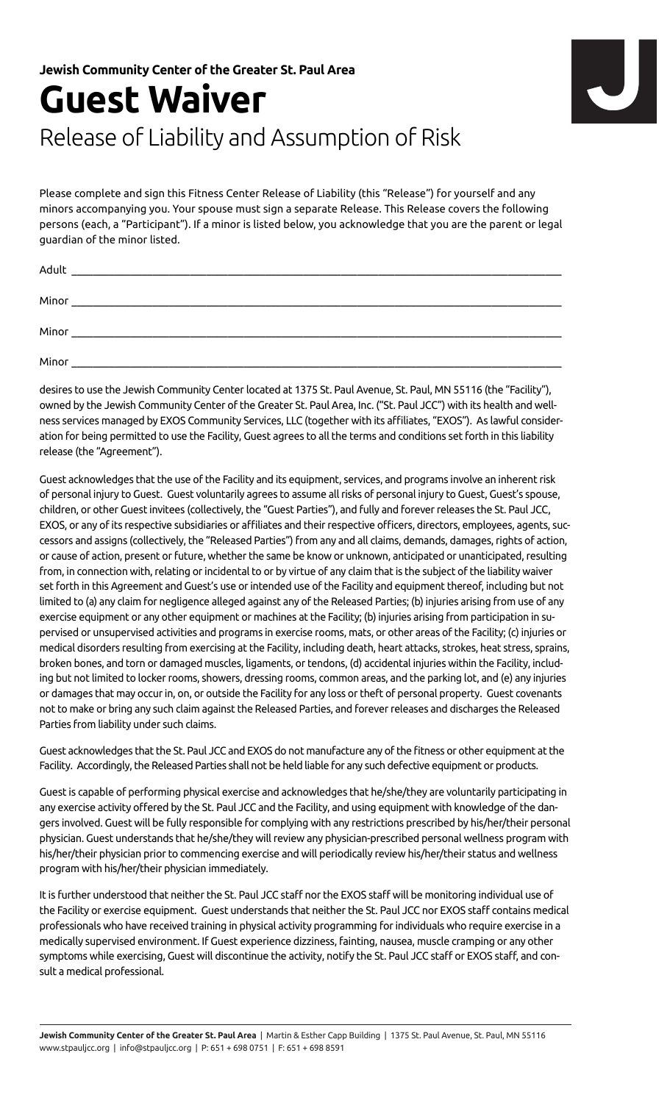## **Guest Waiver**  Release of Liability and Assumption of Risk



Please complete and sign this Fitness Center Release of Liability (this "Release") for yourself and any minors accompanying you. Your spouse must sign a separate Release. This Release covers the following persons (each, a "Participant"). If a minor is listed below, you acknowledge that you are the parent or legal guardian of the minor listed.

| Adult |  |
|-------|--|
| Minor |  |
| Minor |  |
| Minor |  |

desires to use the Jewish Community Center located at 1375 St. Paul Avenue, St. Paul, MN 55116 (the "Facility"), owned by the Jewish Community Center of the Greater St. Paul Area, Inc. ("St. Paul JCC") with its health and wellness services managed by EXOS Community Services, LLC (together with its affiliates, "EXOS"). As lawful consideration for being permitted to use the Facility, Guest agrees to all the terms and conditions set forth in this liability release (the "Agreement").

Guest acknowledges that the use of the Facility and its equipment, services, and programs involve an inherent risk of personal injury to Guest. Guest voluntarily agrees to assume all risks of personal injury to Guest, Guest's spouse, children, or other Guest invitees (collectively, the "Guest Parties"), and fully and forever releases the St. Paul JCC, EXOS, or any of its respective subsidiaries or affiliates and their respective officers, directors, employees, agents, successors and assigns (collectively, the "Released Parties") from any and all claims, demands, damages, rights of action, or cause of action, present or future, whether the same be know or unknown, anticipated or unanticipated, resulting from, in connection with, relating or incidental to or by virtue of any claim that is the subject of the liability waiver set forth in this Agreement and Guest's use or intended use of the Facility and equipment thereof, including but not limited to (a) any claim for negligence alleged against any of the Released Parties; (b) injuries arising from use of any exercise equipment or any other equipment or machines at the Facility; (b) injuries arising from participation in supervised or unsupervised activities and programs in exercise rooms, mats, or other areas of the Facility; (c) injuries or medical disorders resulting from exercising at the Facility, including death, heart attacks, strokes, heat stress, sprains, broken bones, and torn or damaged muscles, ligaments, or tendons, (d) accidental injuries within the Facility, including but not limited to locker rooms, showers, dressing rooms, common areas, and the parking lot, and (e) any injuries or damages that may occur in, on, or outside the Facility for any loss or theft of personal property. Guest covenants not to make or bring any such claim against the Released Parties, and forever releases and discharges the Released Parties from liability under such claims.

Guest acknowledges that the St. Paul JCC and EXOS do not manufacture any of the fitness or other equipment at the Facility. Accordingly, the Released Parties shall not be held liable for any such defective equipment or products.

Guest is capable of performing physical exercise and acknowledges that he/she/they are voluntarily participating in any exercise activity offered by the St. Paul JCC and the Facility, and using equipment with knowledge of the dangers involved. Guest will be fully responsible for complying with any restrictions prescribed by his/her/their personal physician. Guest understands that he/she/they will review any physician-prescribed personal wellness program with his/her/their physician prior to commencing exercise and will periodically review his/her/their status and wellness program with his/her/their physician immediately.

It is further understood that neither the St. Paul JCC staff nor the EXOS staff will be monitoring individual use of the Facility or exercise equipment. Guest understands that neither the St. Paul JCC nor EXOS staff contains medical professionals who have received training in physical activity programming for individuals who require exercise in a medically supervised environment. If Guest experience dizziness, fainting, nausea, muscle cramping or any other symptoms while exercising, Guest will discontinue the activity, notify the St. Paul JCC staff or EXOS staff, and consult a medical professional.